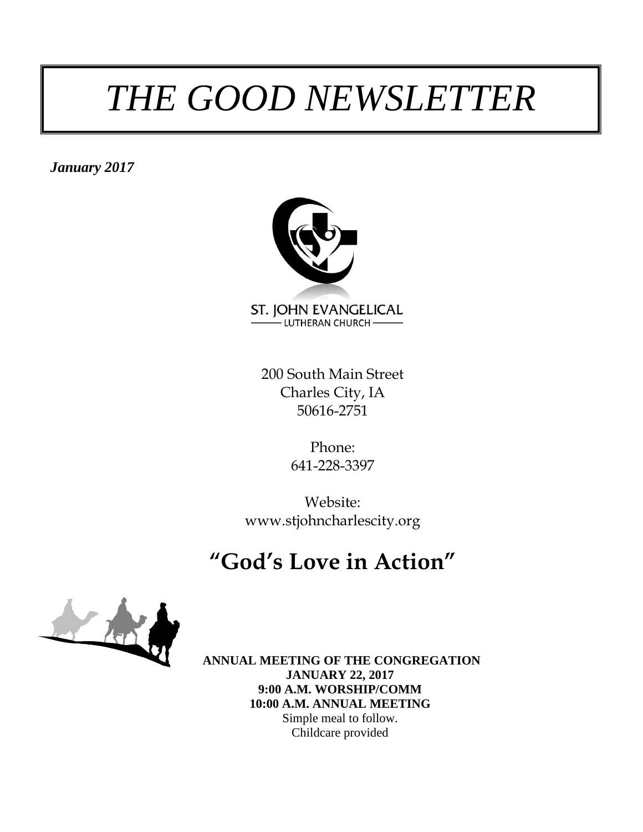### *THE GOOD NEWSLETTER*

*January 2017*



200 South Main Street Charles City, IA 50616-2751

> Phone: 641-228-3397

Website: www.stjohncharlescity.org

### **"God's Love in Action"**



**ANNUAL MEETING OF THE CONGREGATION JANUARY 22, 2017 9:00 A.M. WORSHIP/COMM 10:00 A.M. ANNUAL MEETING** Simple meal to follow. Childcare provided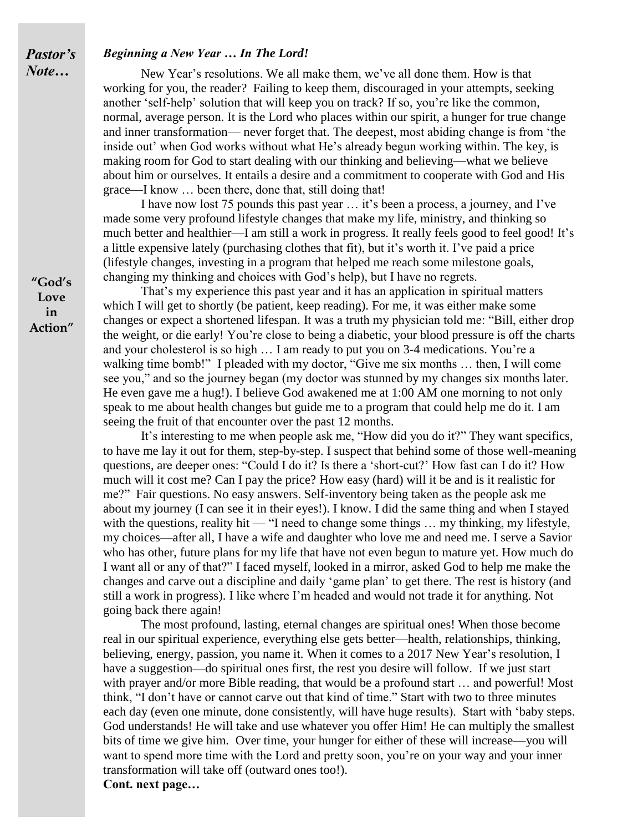#### *Beginning a New Year … In The Lord!*

New Year's resolutions. We all make them, we've all done them. How is that working for you, the reader? Failing to keep them, discouraged in your attempts, seeking another 'self-help' solution that will keep you on track? If so, you're like the common, normal, average person. It is the Lord who places within our spirit, a hunger for true change and inner transformation— never forget that. The deepest, most abiding change is from 'the inside out' when God works without what He's already begun working within. The key, is making room for God to start dealing with our thinking and believing—what we believe about him or ourselves. It entails a desire and a commitment to cooperate with God and His grace—I know … been there, done that, still doing that!

I have now lost 75 pounds this past year … it's been a process, a journey, and I've made some very profound lifestyle changes that make my life, ministry, and thinking so much better and healthier—I am still a work in progress. It really feels good to feel good! It's a little expensive lately (purchasing clothes that fit), but it's worth it. I've paid a price (lifestyle changes, investing in a program that helped me reach some milestone goals, changing my thinking and choices with God's help), but I have no regrets.

That's my experience this past year and it has an application in spiritual matters which I will get to shortly (be patient, keep reading). For me, it was either make some changes or expect a shortened lifespan. It was a truth my physician told me: "Bill, either drop the weight, or die early! You're close to being a diabetic, your blood pressure is off the charts and your cholesterol is so high … I am ready to put you on 3-4 medications. You're a walking time bomb!" I pleaded with my doctor, "Give me six months ... then, I will come see you," and so the journey began (my doctor was stunned by my changes six months later. He even gave me a hug!). I believe God awakened me at 1:00 AM one morning to not only speak to me about health changes but guide me to a program that could help me do it. I am seeing the fruit of that encounter over the past 12 months.

It's interesting to me when people ask me, "How did you do it?" They want specifics, to have me lay it out for them, step-by-step. I suspect that behind some of those well-meaning questions, are deeper ones: "Could I do it? Is there a 'short-cut?' How fast can I do it? How much will it cost me? Can I pay the price? How easy (hard) will it be and is it realistic for me?" Fair questions. No easy answers. Self-inventory being taken as the people ask me about my journey (I can see it in their eyes!). I know. I did the same thing and when I stayed with the questions, reality hit — "I need to change some things ... my thinking, my lifestyle, my choices—after all, I have a wife and daughter who love me and need me. I serve a Savior who has other, future plans for my life that have not even begun to mature yet. How much do I want all or any of that?" I faced myself, looked in a mirror, asked God to help me make the changes and carve out a discipline and daily 'game plan' to get there. The rest is history (and still a work in progress). I like where I'm headed and would not trade it for anything. Not going back there again!

The most profound, lasting, eternal changes are spiritual ones! When those become real in our spiritual experience, everything else gets better—health, relationships, thinking, believing, energy, passion, you name it. When it comes to a 2017 New Year's resolution, I have a suggestion—do spiritual ones first, the rest you desire will follow. If we just start with prayer and/or more Bible reading, that would be a profound start ... and powerful! Most think, "I don't have or cannot carve out that kind of time." Start with two to three minutes each day (even one minute, done consistently, will have huge results). Start with 'baby steps. God understands! He will take and use whatever you offer Him! He can multiply the smallest bits of time we give him. Over time, your hunger for either of these will increase—you will want to spend more time with the Lord and pretty soon, you're on your way and your inner transformation will take off (outward ones too!).

**Cont. next page…**

**"God's Love in Action"**

*Pastor's Note…*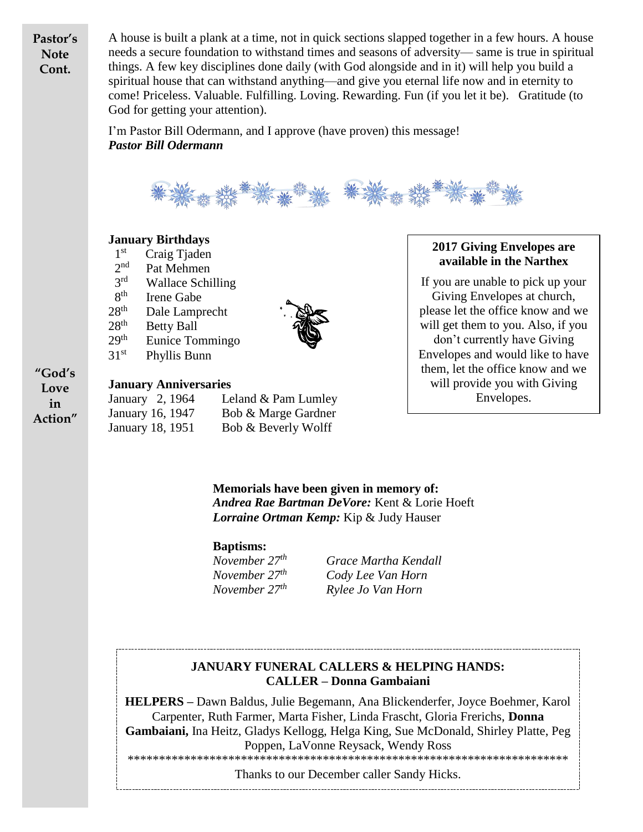**Pastor's Note Cont.**

A house is built a plank at a time, not in quick sections slapped together in a few hours. A house needs a secure foundation to withstand times and seasons of adversity— same is true in spiritual things. A few key disciplines done daily (with God alongside and in it) will help you build a spiritual house that can withstand anything—and give you eternal life now and in eternity to come! Priceless. Valuable. Fulfilling. Loving. Rewarding. Fun (if you let it be). Gratitude (to God for getting your attention).

I'm Pastor Bill Odermann, and I approve (have proven) this message! *Pastor Bill Odermann*



#### **January Birthdays**

1 st Craig Tjaden 2 nd Pat Mehmen  $2rd$ Wallace Schilling 8<sup>th</sup> Irene Gabe  $28<sup>th</sup>$  Dale Lamprecht  $28<sup>th</sup>$  Betty Ball  $29<sup>th</sup>$  Eunice Tommingo  $31<sup>st</sup>$  Phyllis Bunn



#### **2017 Giving Envelopes are available in the Narthex**

If you are unable to pick up your Giving Envelopes at church, please let the office know and we will get them to you. Also, if you don't currently have Giving Envelopes and would like to have them, let the office know and we will provide you with Giving Envelopes.

**"God's Love in Action"**

#### **January Anniversaries**

January 2, 1964 Leland & Pam Lumley January 16, 1947 Bob & Marge Gardner January 18, 1951 Bob & Beverly Wolff

> **Memorials have been given in memory of:** *Andrea Rae Bartman DeVore:* Kent & Lorie Hoeft *Lorraine Ortman Kemp:* Kip & Judy Hauser

#### **Baptisms:**

*November 27th Grace Martha Kendall November 27th Cody Lee Van Horn November 27th Rylee Jo Van Horn*

### **JANUARY FUNERAL CALLERS & HELPING HANDS: CALLER – Donna Gambaiani**

**HELPERS –** Dawn Baldus, Julie Begemann, Ana Blickenderfer, Joyce Boehmer, Karol Carpenter, Ruth Farmer, Marta Fisher, Linda Frascht, Gloria Frerichs, **Donna Gambaiani,** Ina Heitz, Gladys Kellogg, Helga King, Sue McDonald, Shirley Platte, Peg Poppen, LaVonne Reysack, Wendy Ross

\*\*\*\*\*\*\*\*\*\*\*\*\*\*\*\*\*\*\*\*\*\*\*\*\*\*\*\*\*\*\*\*\*\*\*\*\*\*\*\*\*\*\*\*\*\*\*\*\*\*\*\*\*\*\*\*\*\*\*\*\*\*\*\*\*\*\*\*\*\*

Thanks to our December caller Sandy Hicks.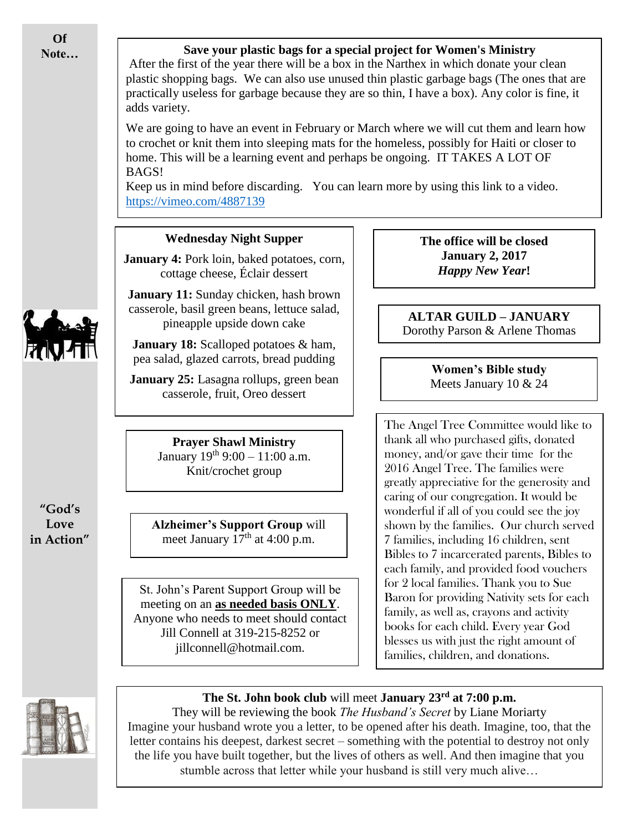**Of Note…**

#### **Save your plastic bags for a special project for Women's Ministry**

After the first of the year there will be a box in the Narthex in which donate your clean plastic shopping bags. We can also use unused thin plastic garbage bags (The ones that are practically useless for garbage because they are so thin, I have a box). Any color is fine, it adds variety.





They will be reviewing the book *The Husband's Secret* by Liane Moriarty Imagine your husband wrote you a letter, to be opened after his death. Imagine, too, that the letter contains his deepest, darkest secret – something with the potential to destroy not only the life you have built together, but the lives of others as well. And then imagine that you stumble across that letter while your husband is still very much alive…



**"God's Love in Action"**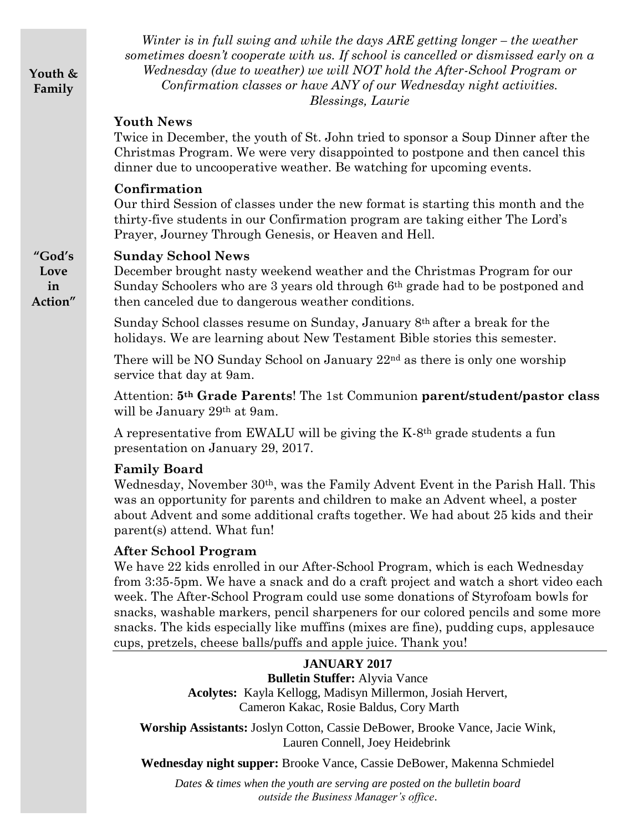**Youth & Family**

*Winter is in full swing and while the days ARE getting longer – the weather sometimes doesn't cooperate with us. If school is cancelled or dismissed early on a Wednesday (due to weather) we will NOT hold the After-School Program or Confirmation classes or have ANY of our Wednesday night activities. Blessings, Laurie*

#### **Youth News**

Twice in December, the youth of St. John tried to sponsor a Soup Dinner after the Christmas Program. We were very disappointed to postpone and then cancel this dinner due to uncooperative weather. Be watching for upcoming events.

#### **Confirmation**

Our third Session of classes under the new format is starting this month and the thirty-five students in our Confirmation program are taking either The Lord's Prayer, Journey Through Genesis, or Heaven and Hell.

#### **"God's Sunday School News**

December brought nasty weekend weather and the Christmas Program for our Sunday Schoolers who are 3 years old through 6th grade had to be postponed and then canceled due to dangerous weather conditions.

Sunday School classes resume on Sunday, January 8th after a break for the holidays. We are learning about New Testament Bible stories this semester.

There will be NO Sunday School on January 22nd as there is only one worship service that day at 9am.

Attention: **5th Grade Parents**! The 1st Communion **parent/student/pastor class** will be January 29th at 9am.

A representative from EWALU will be giving the K-8th grade students a fun presentation on January 29, 2017.

#### **Family Board**

Wednesday, November 30<sup>th</sup>, was the Family Advent Event in the Parish Hall. This was an opportunity for parents and children to make an Advent wheel, a poster about Advent and some additional crafts together. We had about 25 kids and their parent(s) attend. What fun!

#### **After School Program**

We have 22 kids enrolled in our After-School Program, which is each Wednesday from 3:35-5pm. We have a snack and do a craft project and watch a short video each week. The After-School Program could use some donations of Styrofoam bowls for snacks, washable markers, pencil sharpeners for our colored pencils and some more snacks. The kids especially like muffins (mixes are fine), pudding cups, applesauce cups, pretzels, cheese balls/puffs and apple juice. Thank you!

#### **JANUARY 2017**

**Bulletin Stuffer:** Alyvia Vance **Acolytes:** Kayla Kellogg, Madisyn Millermon, Josiah Hervert, Cameron Kakac, Rosie Baldus, Cory Marth

**Worship Assistants:** Joslyn Cotton, Cassie DeBower, Brooke Vance, Jacie Wink, Lauren Connell, Joey Heidebrink

**Wednesday night supper:** Brooke Vance, Cassie DeBower, Makenna Schmiedel

*Dates & times when the youth are serving are posted on the bulletin board outside the Business Manager's office*.

**Love in Action"**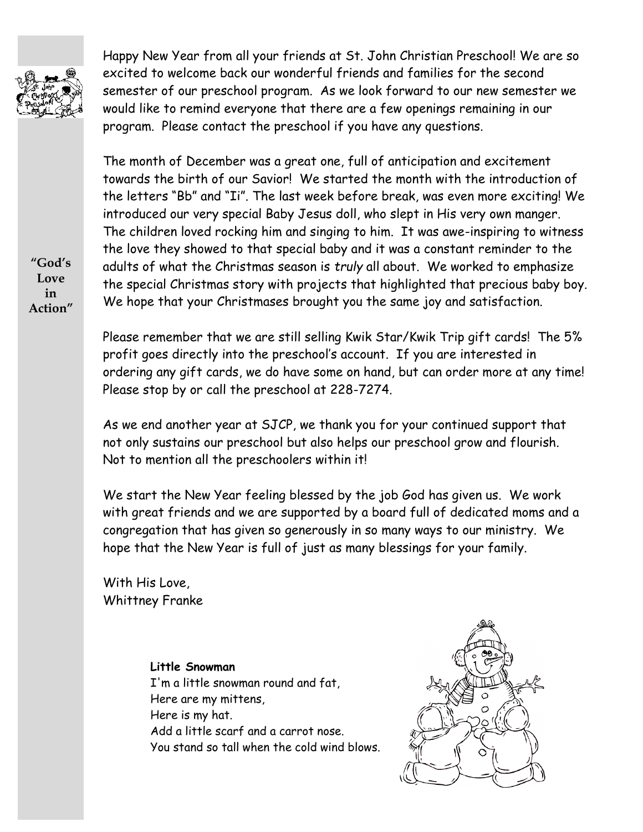

Happy New Year from all your friends at St. John Christian Preschool! We are so excited to welcome back our wonderful friends and families for the second semester of our preschool program. As we look forward to our new semester we would like to remind everyone that there are a few openings remaining in our program. Please contact the preschool if you have any questions.

The month of December was a great one, full of anticipation and excitement towards the birth of our Savior! We started the month with the introduction of the letters "Bb" and "Ii". The last week before break, was even more exciting! We introduced our very special Baby Jesus doll, who slept in His very own manger. The children loved rocking him and singing to him. It was awe-inspiring to witness the love they showed to that special baby and it was a constant reminder to the adults of what the Christmas season is *truly* all about. We worked to emphasize the special Christmas story with projects that highlighted that precious baby boy. We hope that your Christmases brought you the same joy and satisfaction.

Please remember that we are still selling Kwik Star/Kwik Trip gift cards! The 5% profit goes directly into the preschool's account. If you are interested in ordering any gift cards, we do have some on hand, but can order more at any time! Please stop by or call the preschool at 228-7274.

As we end another year at SJCP, we thank you for your continued support that not only sustains our preschool but also helps our preschool grow and flourish. Not to mention all the preschoolers within it!

We start the New Year feeling blessed by the job God has given us. We work with great friends and we are supported by a board full of dedicated moms and a congregation that has given so generously in so many ways to our ministry. We hope that the New Year is full of just as many blessings for your family.

With His Love, Whittney Franke

#### **Little Snowman**

I'm a little snowman round and fat, Here are my mittens, Here is my hat. Add a little scarf and a carrot nose. You stand so tall when the cold wind blows.



**"God's Love in Action"**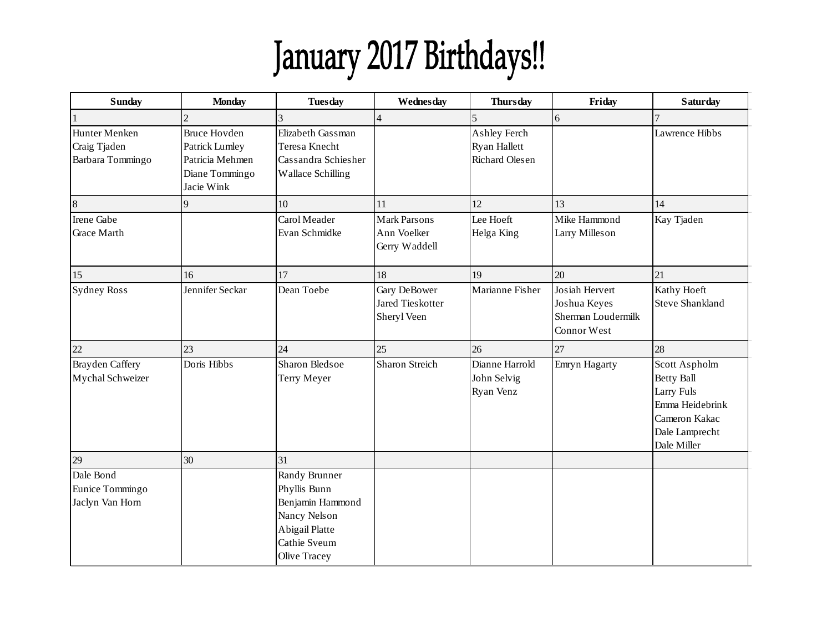# January 2017 Birthdays!!

| <b>Sunday</b>                                     | <b>Monday</b>                                                                            | <b>Tuesday</b>                                                                                                      | Wednesday                                           | <b>Thursday</b>                                              | Friday                                                              | <b>Saturday</b>                                                                                                       |
|---------------------------------------------------|------------------------------------------------------------------------------------------|---------------------------------------------------------------------------------------------------------------------|-----------------------------------------------------|--------------------------------------------------------------|---------------------------------------------------------------------|-----------------------------------------------------------------------------------------------------------------------|
|                                                   | 2                                                                                        | 3                                                                                                                   | $\overline{\mathbf{4}}$                             | 5                                                            | $\sqrt{6}$                                                          | 7                                                                                                                     |
| Hunter Menken<br>Craig Tjaden<br>Barbara Tommingo | <b>Bruce Hovden</b><br>Patrick Lumley<br>Patricia Mehmen<br>Diane Tommingo<br>Jacie Wink | Elizabeth Gassman<br>Teresa Knecht<br>Cassandra Schiesher<br>Wallace Schilling                                      |                                                     | Ashley Ferch<br><b>Ryan Hallett</b><br><b>Richard Olesen</b> |                                                                     | Lawrence Hibbs                                                                                                        |
| $\boldsymbol{8}$                                  | 9                                                                                        | 10                                                                                                                  | 11                                                  | 12                                                           | 13                                                                  | 14                                                                                                                    |
| Irene Gabe<br><b>Grace Marth</b>                  |                                                                                          | Carol Meader<br>Evan Schmidke                                                                                       | <b>Mark Parsons</b><br>Ann Voelker<br>Gerry Waddell | Lee Hoeft<br>Helga King                                      | Mike Hammond<br>Larry Milleson                                      | Kay Tjaden                                                                                                            |
| 15                                                | 16                                                                                       | 17                                                                                                                  | 18                                                  | 19                                                           | 20                                                                  | 21                                                                                                                    |
| <b>Sydney Ross</b>                                | Jennifer Seckar                                                                          | Dean Toebe                                                                                                          | Gary DeBower<br>Jared Tieskotter<br>Sheryl Veen     | Marianne Fisher                                              | Josiah Hervert<br>Joshua Keyes<br>Sherman Loudermilk<br>Connor West | Kathy Hoeft<br><b>Steve Shankland</b>                                                                                 |
| 22                                                | 23                                                                                       | 24                                                                                                                  | 25                                                  | 26                                                           | 27                                                                  | 28                                                                                                                    |
| <b>Brayden Caffery</b><br>Mychal Schweizer        | Doris Hibbs                                                                              | Sharon Bledsoe<br>Terry Meyer                                                                                       | <b>Sharon Streich</b>                               | Dianne Harrold<br>John Selvig<br>Ryan Venz                   | Emryn Hagarty                                                       | Scott Aspholm<br><b>Betty Ball</b><br>Larry Fuls<br>Emma Heidebrink<br>Cameron Kakac<br>Dale Lamprecht<br>Dale Miller |
| 29                                                | 30                                                                                       | 31                                                                                                                  |                                                     |                                                              |                                                                     |                                                                                                                       |
| Dale Bond<br>Eunice Tommingo<br>Jaclyn Van Horn   |                                                                                          | Randy Brunner<br>Phyllis Bunn<br>Benjamin Hammond<br>Nancy Nelson<br>Abigail Platte<br>Cathie Sveum<br>Olive Tracey |                                                     |                                                              |                                                                     |                                                                                                                       |